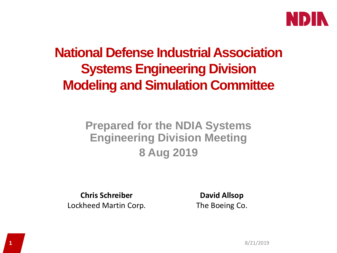

## **National Defense Industrial Association Systems Engineering Division Modeling and Simulation Committee**

#### **Prepared for the NDIA Systems Engineering Division Meeting 8 Aug 2019**

**Chris Schreiber** Lockheed Martin Corp.

**David Allsop** The Boeing Co.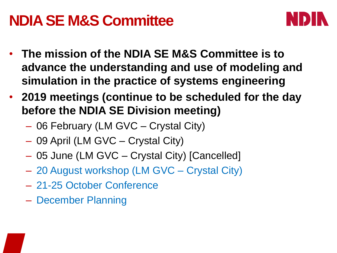# **NDIA SE M&S Committee**



- **The mission of the NDIA SE M&S Committee is to advance the understanding and use of modeling and simulation in the practice of systems engineering**
- **2019 meetings (continue to be scheduled for the day before the NDIA SE Division meeting)**
	- 06 February (LM GVC Crystal City)
	- 09 April (LM GVC Crystal City)
	- 05 June (LM GVC Crystal City) [Cancelled]
	- 20 August workshop (LM GVC Crystal City)
	- 21-25 October Conference
	- December Planning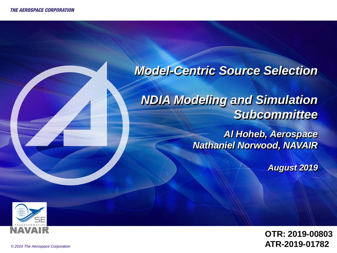#### *Model-Centric Source Selection*

*NDIA Modeling and Simulation Subcommittee*

> *Al Hoheb, Aerospace Nathaniel Norwood, NAVAIR*

> > *August 2019*



**OTR: 2019-00803 ATR-2019-01782**

3 *© 2019 The Aerospace Corporation*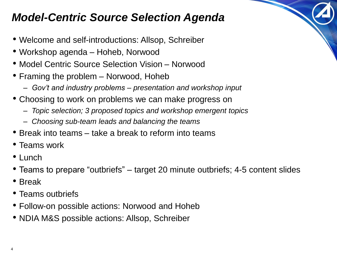### *Model-Centric Source Selection Agenda*

- Welcome and self-introductions: Allsop, Schreiber
- Workshop agenda Hoheb, Norwood
- Model Centric Source Selection Vision Norwood
- Framing the problem Norwood, Hoheb
	- *Gov't and industry problems – presentation and workshop input*
- Choosing to work on problems we can make progress on
	- *Topic selection; 3 proposed topics and workshop emergent topics*
	- *Choosing sub-team leads and balancing the teams*
- Break into teams take a break to reform into teams
- Teams work
- Lunch
- Teams to prepare "outbriefs" target 20 minute outbriefs; 4-5 content slides
- Break
- Teams outbriefs
- Follow-on possible actions: Norwood and Hoheb
- NDIA M&S possible actions: Allsop, Schreiber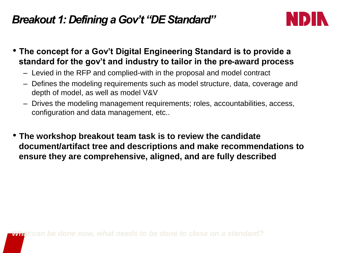#### *Breakout 1: Defining a Gov't "DE Standard"*



- **The concept for a Gov't Digital Engineering Standard is to provide a standard for the gov't and industry to tailor in the pre-award process** 
	- Levied in the RFP and complied-with in the proposal and model contract
	- Defines the modeling requirements such as model structure, data, coverage and depth of model, as well as model V&V
	- Drives the modeling management requirements; roles, accountabilities, access, configuration and data management, etc..
- **The workshop breakout team task is to review the candidate document/artifact tree and descriptions and make recommendations to ensure they are comprehensive, aligned, and are fully described**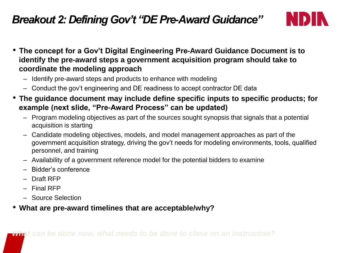#### *Breakout 2: Defining Gov't "DE Pre-Award Guidance"*



- **The concept for a Gov't Digital Engineering Pre-Award Guidance Document is to identify the pre-award steps a government acquisition program should take to coordinate the modeling approach**
	- Identify pre-award steps and products to enhance with modeling
	- Conduct the gov't engineering and DE readiness to accept contractor DE data
- **The guidance document may include define specific inputs to specific products; for example (next slide, "Pre-Award Process" can be updated)**
	- Program modeling objectives as part of the sources sought synopsis that signals that a potential acquisition is starting
	- Candidate modeling objectives, models, and model management approaches as part of the government acquisition strategy, driving the gov't needs for modeling environments, tools, qualified personnel, and training
	- Availability of a government reference model for the potential bidders to examine
	- Bidder's conference
	- Draft RFP
	- Final RFP
	- Source Selection
- **What are pre-award timelines that are acceptable/why?**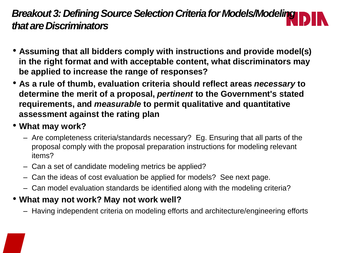#### *Breakout 3: Defining Source Selection Criteria for Models/Modeling that are Discriminators*

- **Assuming that all bidders comply with instructions and provide model(s) in the right format and with acceptable content, what discriminators may be applied to increase the range of responses?**
- **As a rule of thumb, evaluation criteria should reflect areas** *necessary* **to determine the merit of a proposal,** *pertinent* **to the Government's stated requirements, and** *measurable* **to permit qualitative and quantitative assessment against the rating plan**
- **What may work?**
	- Are completeness criteria/standards necessary? Eg. Ensuring that all parts of the proposal comply with the proposal preparation instructions for modeling relevant items?
	- Can a set of candidate modeling metrics be applied?
	- Can the ideas of cost evaluation be applied for models? See next page.
	- Can model evaluation standards be identified along with the modeling criteria?

#### • **What may not work? May not work well?**

– Having independent criteria on modeling efforts and architecture/engineering efforts